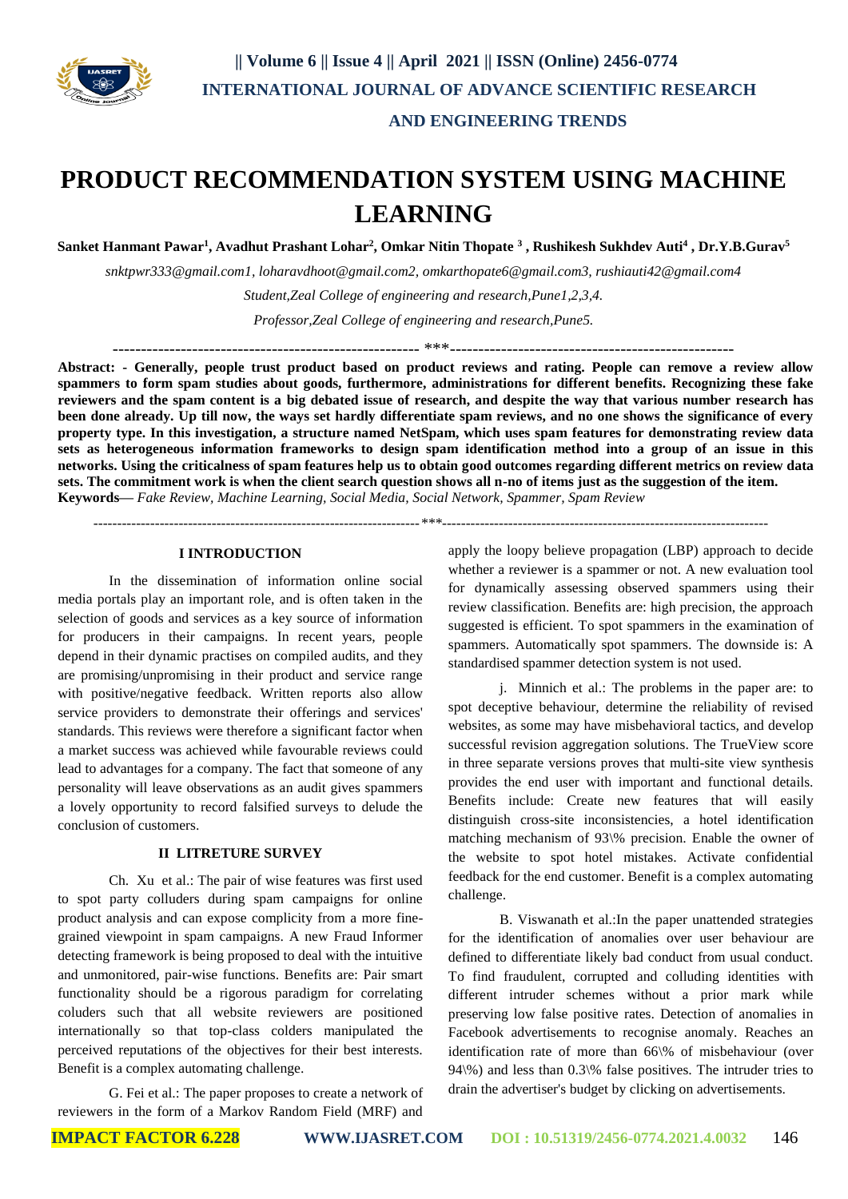

# **PRODUCT RECOMMENDATION SYSTEM USING MACHINE LEARNING**

**Sanket Hanmant Pawar<sup>1</sup> , Avadhut Prashant Lohar<sup>2</sup> , Omkar Nitin Thopate <sup>3</sup> , Rushikesh Sukhdev Auti<sup>4</sup> , Dr.Y.B.Gurav<sup>5</sup>**

*snktpwr333@gmail.com1, loharavdhoot@gmail.com2, omkarthopate6@gmail.com3, rushiauti42@gmail.com4*

*Student,Zeal College of engineering and research,Pune1,2,3,4.*

*Professor,Zeal College of engineering and research,Pune5.*

------------------------------------------------------ \*\*\*--------------------------------------------------

**Abstract: - Generally, people trust product based on product reviews and rating. People can remove a review allow spammers to form spam studies about goods, furthermore, administrations for different benefits. Recognizing these fake reviewers and the spam content is a big debated issue of research, and despite the way that various number research has been done already. Up till now, the ways set hardly differentiate spam reviews, and no one shows the significance of every property type. In this investigation, a structure named NetSpam, which uses spam features for demonstrating review data sets as heterogeneous information frameworks to design spam identification method into a group of an issue in this networks. Using the criticalness of spam features help us to obtain good outcomes regarding different metrics on review data sets. The commitment work is when the client search question shows all n-no of items just as the suggestion of the item. Keywords—** *Fake Review, Machine Learning, Social Media, Social Network, Spammer, Spam Review*

 *---------------------------------------------------------------------\*\*\*---------------------------------------------------------------------*

# **I INTRODUCTION**

In the dissemination of information online social media portals play an important role, and is often taken in the selection of goods and services as a key source of information for producers in their campaigns. In recent years, people depend in their dynamic practises on compiled audits, and they are promising/unpromising in their product and service range with positive/negative feedback. Written reports also allow service providers to demonstrate their offerings and services' standards. This reviews were therefore a significant factor when a market success was achieved while favourable reviews could lead to advantages for a company. The fact that someone of any personality will leave observations as an audit gives spammers a lovely opportunity to record falsified surveys to delude the conclusion of customers.

## **II LITRETURE SURVEY**

Ch. Xu et al.: The pair of wise features was first used to spot party colluders during spam campaigns for online product analysis and can expose complicity from a more finegrained viewpoint in spam campaigns. A new Fraud Informer detecting framework is being proposed to deal with the intuitive and unmonitored, pair-wise functions. Benefits are: Pair smart functionality should be a rigorous paradigm for correlating coluders such that all website reviewers are positioned internationally so that top-class colders manipulated the perceived reputations of the objectives for their best interests. Benefit is a complex automating challenge.

G. Fei et al.: The paper proposes to create a network of reviewers in the form of a Markov Random Field (MRF) and

apply the loopy believe propagation (LBP) approach to decide whether a reviewer is a spammer or not. A new evaluation tool for dynamically assessing observed spammers using their review classification. Benefits are: high precision, the approach suggested is efficient. To spot spammers in the examination of spammers. Automatically spot spammers. The downside is: A standardised spammer detection system is not used.

j. Minnich et al.: The problems in the paper are: to spot deceptive behaviour, determine the reliability of revised websites, as some may have misbehavioral tactics, and develop successful revision aggregation solutions. The TrueView score in three separate versions proves that multi-site view synthesis provides the end user with important and functional details. Benefits include: Create new features that will easily distinguish cross-site inconsistencies, a hotel identification matching mechanism of 93\% precision. Enable the owner of the website to spot hotel mistakes. Activate confidential feedback for the end customer. Benefit is a complex automating challenge.

B. Viswanath et al.:In the paper unattended strategies for the identification of anomalies over user behaviour are defined to differentiate likely bad conduct from usual conduct. To find fraudulent, corrupted and colluding identities with different intruder schemes without a prior mark while preserving low false positive rates. Detection of anomalies in Facebook advertisements to recognise anomaly. Reaches an identification rate of more than 66\% of misbehaviour (over 94\%) and less than 0.3\% false positives. The intruder tries to drain the advertiser's budget by clicking on advertisements.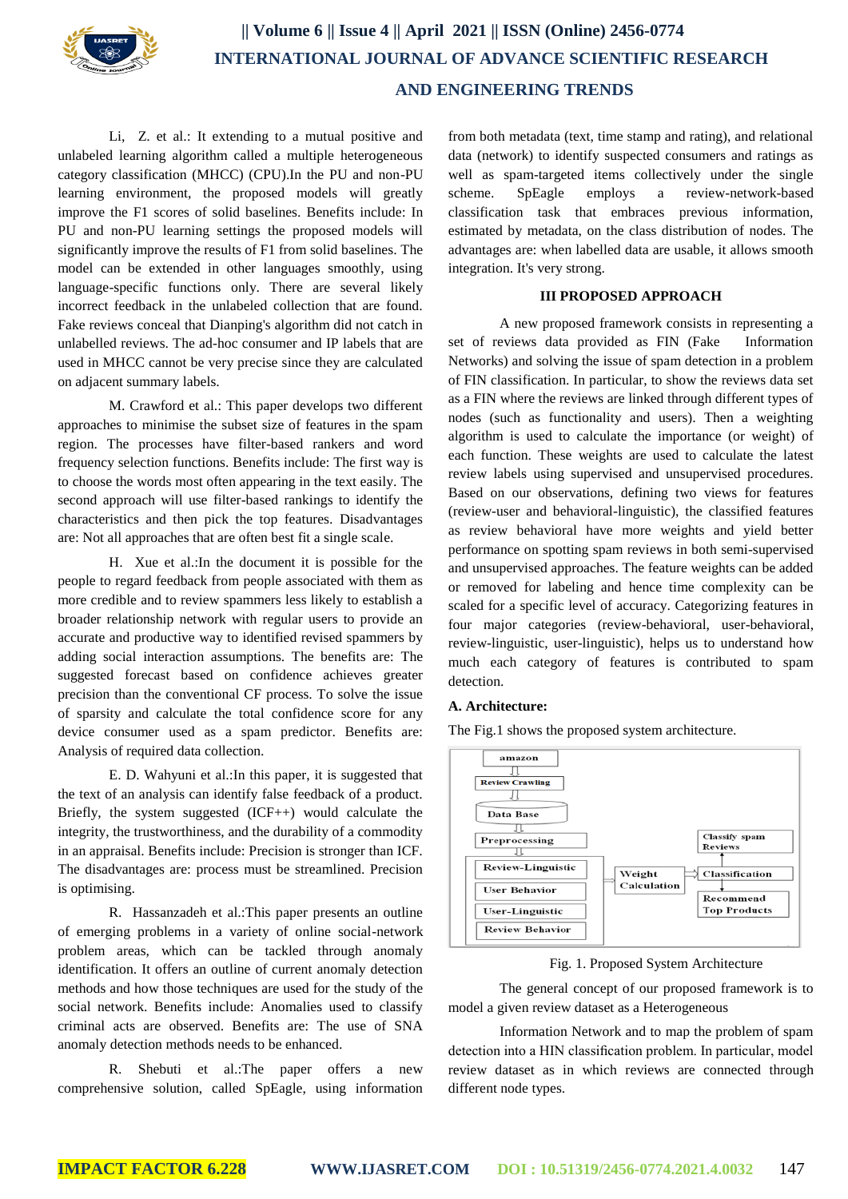

Li, Z. et al.: It extending to a mutual positive and unlabeled learning algorithm called a multiple heterogeneous category classification (MHCC) (CPU).In the PU and non-PU learning environment, the proposed models will greatly improve the F1 scores of solid baselines. Benefits include: In PU and non-PU learning settings the proposed models will significantly improve the results of F1 from solid baselines. The model can be extended in other languages smoothly, using language-specific functions only. There are several likely incorrect feedback in the unlabeled collection that are found. Fake reviews conceal that Dianping's algorithm did not catch in unlabelled reviews. The ad-hoc consumer and IP labels that are used in MHCC cannot be very precise since they are calculated on adjacent summary labels.

M. Crawford et al.: This paper develops two different approaches to minimise the subset size of features in the spam region. The processes have filter-based rankers and word frequency selection functions. Benefits include: The first way is to choose the words most often appearing in the text easily. The second approach will use filter-based rankings to identify the characteristics and then pick the top features. Disadvantages are: Not all approaches that are often best fit a single scale.

H. Xue et al.:In the document it is possible for the people to regard feedback from people associated with them as more credible and to review spammers less likely to establish a broader relationship network with regular users to provide an accurate and productive way to identified revised spammers by adding social interaction assumptions. The benefits are: The suggested forecast based on confidence achieves greater precision than the conventional CF process. To solve the issue of sparsity and calculate the total confidence score for any device consumer used as a spam predictor. Benefits are: Analysis of required data collection.

E. D. Wahyuni et al.:In this paper, it is suggested that the text of an analysis can identify false feedback of a product. Briefly, the system suggested (ICF++) would calculate the integrity, the trustworthiness, and the durability of a commodity in an appraisal. Benefits include: Precision is stronger than ICF. The disadvantages are: process must be streamlined. Precision is optimising.

R. Hassanzadeh et al.:This paper presents an outline of emerging problems in a variety of online social-network problem areas, which can be tackled through anomaly identification. It offers an outline of current anomaly detection methods and how those techniques are used for the study of the social network. Benefits include: Anomalies used to classify criminal acts are observed. Benefits are: The use of SNA anomaly detection methods needs to be enhanced.

R. Shebuti et al.:The paper offers a new comprehensive solution, called SpEagle, using information from both metadata (text, time stamp and rating), and relational data (network) to identify suspected consumers and ratings as well as spam-targeted items collectively under the single scheme. SpEagle employs a review-network-based classification task that embraces previous information, estimated by metadata, on the class distribution of nodes. The advantages are: when labelled data are usable, it allows smooth integration. It's very strong.

#### **III PROPOSED APPROACH**

A new proposed framework consists in representing a set of reviews data provided as FIN (Fake Information Networks) and solving the issue of spam detection in a problem of FIN classification. In particular, to show the reviews data set as a FIN where the reviews are linked through different types of nodes (such as functionality and users). Then a weighting algorithm is used to calculate the importance (or weight) of each function. These weights are used to calculate the latest review labels using supervised and unsupervised procedures. Based on our observations, defining two views for features (review-user and behavioral-linguistic), the classified features as review behavioral have more weights and yield better performance on spotting spam reviews in both semi-supervised and unsupervised approaches. The feature weights can be added or removed for labeling and hence time complexity can be scaled for a specific level of accuracy. Categorizing features in four major categories (review-behavioral, user-behavioral, review-linguistic, user-linguistic), helps us to understand how much each category of features is contributed to spam detection.

### **A. Architecture:**

The Fig.1 shows the proposed system architecture.



Fig. 1. Proposed System Architecture

The general concept of our proposed framework is to model a given review dataset as a Heterogeneous

Information Network and to map the problem of spam detection into a HIN classification problem. In particular, model review dataset as in which reviews are connected through different node types.